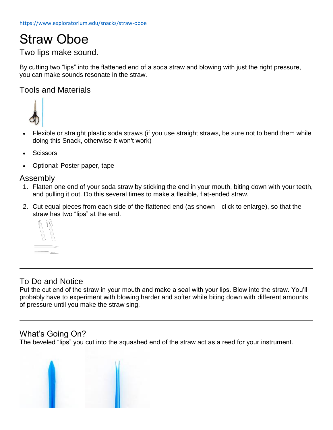# Straw Oboe

## Two lips make sound.

By cutting two "lips" into the flattened end of a soda straw and blowing with just the right pressure, you can make sounds resonate in the straw.

### Tools and Materials



- Flexible or straight plastic soda straws (if you use straight straws, be sure not to bend them while doing this Snack, otherwise it won't work)
- **Scissors**
- Optional: Poster paper, tape

#### Assembly

- 1. Flatten one end of your soda straw by sticking the end in your mouth, biting down with your teeth, and pulling it out. Do this several times to make a flexible, flat-ended straw.
- 2. Cut equal pieces from each side of the flattened end (as shown—click to enlarge), so that the straw has two "lips" at the end.



## To Do and Notice

Put the cut end of the straw in your mouth and make a seal with your lips. Blow into the straw. You'll probably have to experiment with blowing harder and softer while biting down with different amounts of pressure until you make the straw sing.

## What's Going On?

The beveled "lips" you cut into the squashed end of the straw act as a reed for your instrument.